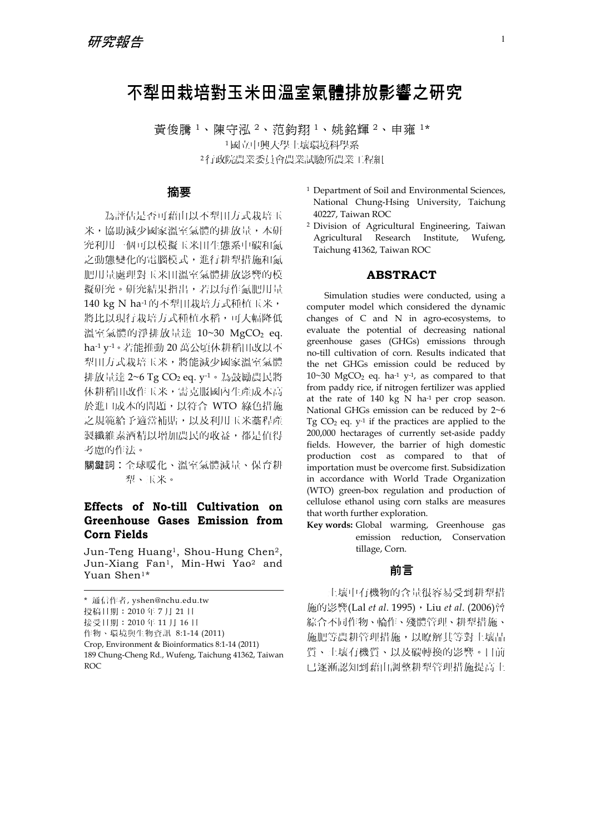# 不犁田栽培對玉米田溫室氣體排放影響之研究

黃俊騰 <sup>1</sup>、陳守泓 <sup>2</sup>、范鈞翔 <sup>1</sup>、姚銘輝 <sup>2</sup>、申雍 1\* <sup>1</sup>國立中興大學土壤環境科學系 <sup>2</sup>行政院農業委員會農業試驗所農業工程組

#### 摘要

為評估是否可藉由以不犁田方式栽培玉 米,協助減少國家溫室氣體的排放量,本研 究利用一個可以模擬玉米田生態系中碳和氮 之動態變化的電腦模式,進行耕犁措施和氮 肥用量處理對玉米田溫室氣體排放影響的模 擬研究。研究結果指出,若以每作氮肥用量 140 kg N ha-1的不犁田栽培方式種植玉米, 將比以現行栽培方式種植水稻,可大幅降低 溫室氣體的淨排放量達 10~30 MgCO<sub>2</sub> eq. ha-1 y-1。若能推動 20 萬公頃休耕稻田改以不 犁田方式栽培玉米,將能減少國家溫室氣體 排放量達  $2 \sim 6$  Tg CO<sub>2</sub> eq.  $y^{-1} \cdot \frac{1}{6}$ 鼓勵農民將 休耕稻田改作玉米,需克服國內生產成本高 於進口成本的問題,以符合 WTO 綠色措施 之規範給予適當補貼,以及利用玉米藁稈產 製纖維素酒精以增加農民的收益,都是值得 考慮的作法。

關鍵詞︰全球暖化、溫室氣體減量、保育耕 犁、玉米。

# **Effects of No-till Cultivation on Greenhouse Gases Emission from Corn Fields**

Jun-Teng Huang1, Shou-Hung Chen2, Jun-Xiang Fan1, Min-Hwi Yao2 and Yuan Shen1\*

- 接受日期:2010 年 11 月 16 日
- 作物、環境與生物資訊 8:1-14 (2011)
- Crop, Environment & Bioinformatics 8:1-14 (2011)
- 1 Department of Soil and Environmental Sciences, National Chung-Hsing University, Taichung 40227, Taiwan ROC
- 2 Division of Agricultural Engineering, Taiwan Agricultural Research Institute, Wufeng, Taichung 41362, Taiwan ROC

#### **ABSTRACT**

Simulation studies were conducted, using a computer model which considered the dynamic changes of C and N in agro-ecosystems, to evaluate the potential of decreasing national greenhouse gases (GHGs) emissions through no-till cultivation of corn. Results indicated that the net GHGs emission could be reduced by  $10~30$  MgCO<sub>2</sub> eq. ha<sup>-1</sup> y<sup>-1</sup>, as compared to that from paddy rice, if nitrogen fertilizer was applied at the rate of  $140 \text{ kg}$  N ha<sup>-1</sup> per crop season. National GHGs emission can be reduced by 2~6 Tg  $CO<sub>2</sub>$  eq.  $y<sup>-1</sup>$  if the practices are applied to the 200,000 hectarages of currently set-aside paddy fields. However, the barrier of high domestic production cost as compared to that of importation must be overcome first. Subsidization in accordance with World Trade Organization (WTO) green-box regulation and production of cellulose ethanol using corn stalks are measures that worth further exploration.

**Key words:** Global warming, Greenhouse gas emission reduction, Conservation tillage, Corn.

#### 前言

土壤中有機物的含量很容易受到耕犁措 施的影響(Lal *et al*. 1995),Liu *et al*. (2006)曾 綜合不同作物、輪作、殘體管理、耕犁措施、 施肥等農耕管理措施,以瞭解其等對土壤品 質、土壤有機質、以及碳轉換的影響。目前 已逐漸認知到藉由調整耕犁管理措施提高土

<sup>\*</sup> 通信作者, yshen@nchu.edu.tw

投稿日期:2010 年 7 月 21 日

<sup>189</sup> Chung-Cheng Rd., Wufeng, Taichung 41362, Taiwan ROC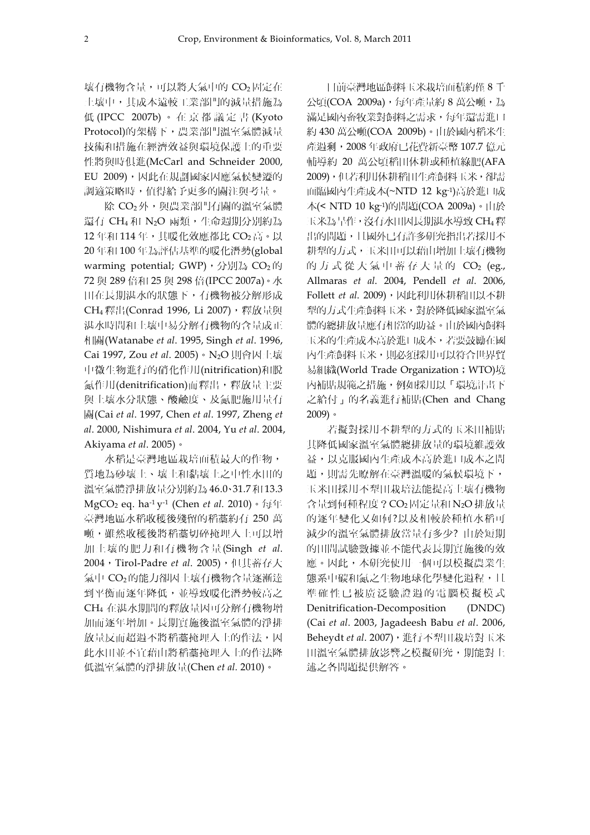壤有機物含量,可以將大氣中的 CO2 固定在 土壤中,其成本遠較工業部門的減量措施為 低 (IPCC 2007b) 。在京都議定書 (Kyoto Protocol)的架構下,農業部門溫室氣體減量 技術和措施在經濟效益與環境保護上的重要 性將與時俱進(McCarl and Schneider 2000, EU 2009), 因此在規劃國家因應氣候變遷的 調適策略時,值得給予更多的關注與考量。

除 CO<sub>2</sub>外,與農業部門有關的溫室氣體 還有 CH4 和 N2O 兩類,生命週期分別約為 12年和 114年,其暖化效應都比 CO<sub>2</sub> 高。以 20 年和 100 年為評估基準的暖化潛勢(global warming potential; GWP), 分別為  $CO<sub>2</sub>$ 的 72 與 289 倍和 25 與 298 倍(IPCC 2007a)。水 田在長期湛水的狀態下,有機物被分解形成 CH<sub>4</sub> 釋出(Conrad 1996, Li 2007), 釋放量與 湛水時間和土壤中易分解有機物的含量成正 相關(Watanabe *et al*. 1995, Singh *et al*. 1996, Cai 1997, Zou *et al*. 2005)。N2O 則會因土壤 中微生物進行的硝化作用(nitrification)和脫 氮作用(denitrification)而釋出,釋放量主要 與土壤水分狀態、酸鹼度、及氮肥施用量有 關(Cai *et al*. 1997, Chen *et al*. 1997, Zheng *et al*. 2000, Nishimura *et al*. 2004, Yu *et al*. 2004, Akiyama *et al*. 2005)。

水稻是臺灣地區栽培面積最大的作物, 質地為砂壤土、壤土和黏壤土之中性水田的 溫室氣體淨排放量分別約為 46.0、31.7 和 13.3 MgCO2 eq. ha-1 y-1 (Chen *et al.* 2010)。每年 臺灣地區水稻收穫後殘留的稻藁約有 250 萬 噸,雖然收穫後將稻藁切碎掩埋入土可以增 加土壤的肥力和有機物含量 (Singh *et al*. 2004,Tirol-Padre *et al*. 2005),但其蓄存大 氣中 CO2 的能力卻因土壤有機物含量逐漸達 到平衡而逐年降低,並導致暖化潛勢較高之 CH4 在湛水期間的釋放量因可分解有機物增 加而逐年增加。長期實施後溫室氣體的淨排 放量反而超過不將稻藁掩埋入土的作法,因 此水田並不宜藉由將稻藁掩埋入土的作法降 低溫室氣體的淨排放量(Chen *et al.* 2010)。

目前臺灣地區飼料玉米栽培面積約僅 8 千 公頃(COA 2009a),每年產量約 8 萬公噸,為 滿足國內畜牧業對飼料之需求,每年還需進口 約 430 萬公噸(COA 2009b)。由於國內稻米生 產過剩,2008 年政府已花費新臺幣 107.7 億元 輔導約 20 萬公頃稻田休耕或種植綠肥(AFA 2009),但若利用休耕稻田生產飼料玉米,卻需 面臨國內生產成本(~NTD 12 kg-1)高於進口成 本(< NTD 10 kg-1)的問題(COA 2009a)。由於 玉米為旱作,沒有水田因長期湛水導致 CH4釋 出的問題,且國外已有許多研究指出若採用不 耕犁的方式,玉米田可以藉由增加土壤有機物 的方式從大氣中蓄存大量的 CO<sub>2</sub> (eg., Allmaras *et al*. 2004, Pendell *et al*. 2006, Follett et al. 2009), 因此利用休耕稻田以不耕 犁的方式生產飼料玉米,對於降低國家溫室氣 體的總排放量應有相當的助益。由於國內飼料 玉米的生產成本高於進口成本,若要鼓勵在國 內生產飼料玉米,則必須採用可以符合世界貿 易組織(World Trade Organization; WTO)境 內補貼規範之措施,例如採用以「環境計畫下 之給付」的名義進行補貼(Chen and Chang 2009)。

若擬對採用不耕犁的方式的玉米田補貼 其降低國家溫室氣體總排放量的環境維護效 益,以克服國內生產成本高於進口成本之問 題,則需先瞭解在臺灣溫暖的氣候環境下, 玉米田採用不犁田栽培法能提高土壤有機物 含量到何種程度?CO<sub>2</sub> 固定量和 N<sub>2</sub>O 排放量 的逐年變化又如何?以及相較於種植水稻可 減少的溫室氣體排放當量有多少? 由於短期 的田間試驗數據並不能代表長期實施後的效 應。因此,本研究使用一個可以模擬農業生 態系中碳和氮之生物地球化學變化過程,且 準確性已被廣泛驗證過的電腦模擬模式 Denitrification-Decomposition (DNDC) (Cai *et al*. 2003, Jagadeesh Babu *et al*. 2006, Beheydt *et al*. 2007),進行不犁田栽培對玉米 田溫室氣體排放影響之模擬研究,期能對上 述之各問題提供解答。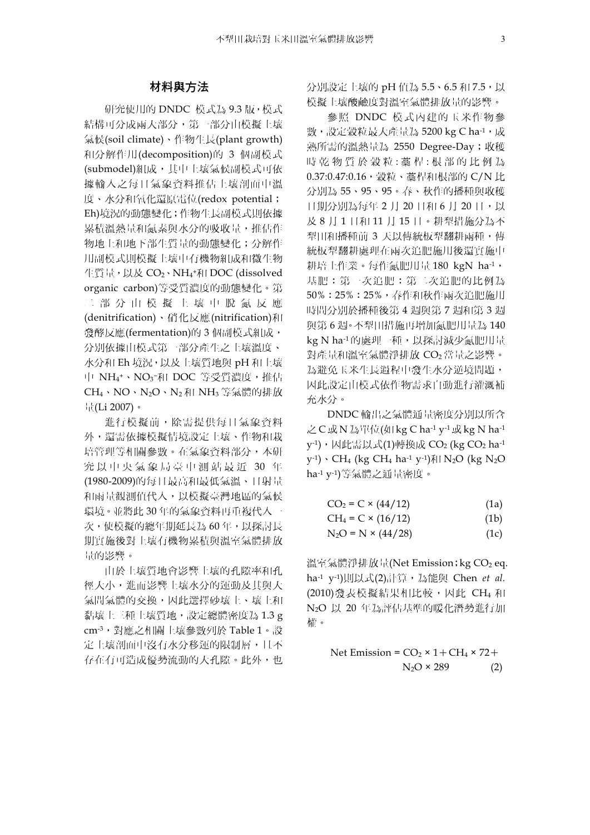## 材料與方法

研究使用的 DNDC 模式為 9.3 版,模式 結構可分成兩大部分,第一部分由模擬土壤 氣候(soil climate)、作物生長(plant growth) 和分解作用(decomposition)的 3 個副模式 (submodel)組成,其中土壤氣候副模式可依 據輸入之每日氣象資料推估土壤剖面中溫 度、水分和氧化還原電位(redox potential; Eh)境況的動態變化;作物生長副模式則依據 累積溫熱量和氮素與水分的吸收量,推估作 物地上和地下部生質量的動態變化;分解作 用副模式則模擬土壤中有機物組成和微生物 生質量,以及 CO2、NH4†和 DOC (dissolved organic carbon)等受質濃度的動態變化。第 二部分由模擬土壤中脫氮反應 (denitrification)、硝化反應(nitrification)和 發酵反應(fermentation)的 3 個副模式組成, 分別依據由模式第一部分產生之土壤溫度、 水分和 Eh 境況,以及土壤質地與 pH 和土壤 中 NH4+、NO3<sup>-</sup>和 DOC 等受質濃度,推估 CH4、NO、N2O、N2 和 NH3 等氣體的排放 量(Li 2007)。

進行模擬前,除需提供每日氣象資料 外,還需依據模擬情境設定土壤、作物和栽 培管理等相關參數。在氣象資料部分,本研 究以中央氣象局臺中測站最近 30 年 (1980-2009)的每日最高和最低氣溫、日射量 和雨量觀測值代入,以模擬臺灣地區的氣候 環境。並將此 30 年的氣象資料再重複代入一 次,使模擬的總年期延長為 60 年,以探討長 期實施後對土壤有機物累積與溫室氣體排放 量的影響。

由於土壤質地會影響土壤的孔隙率和孔 徑大小,進而影響土壤水分的運動及其與大 氣間氣體的交換,因此選擇砂壤土、壤土和 黏壤土三種土壤質地,設定總體密度為 1.3 g cm-3,對應之相關土壤參數列於 Table 1。設 定土壤剖面中沒有水分移運的限制層,且不 存在有可造成優勢流動的大孔隙。此外,也 分別設定土壤的 pH 值為 5.5、6.5 和 7.5,以 模擬土壤酸鹼度對溫室氣體排放量的影響。

參照 DNDC 模式內建的玉米作物參 數,設定穀粒最大產量為 5200 kg C ha-1,成 熟所需的溫熱量為 2550 Degree-Day;收穫 時乾物質於穀粒:藁桿:根部的比例為 0.37:0.47:0.16, 穀粒、藁桿和根部的 C/N 比 分別為 55、95、95。春、秋作的播種與收穫 日期分別為每年 2月 20日和 6月 20日,以 及 8 月 1 日和 11 月 15 日。耕犁措施分為不 犁田和播種前 3 天以傳統板犁翻耕兩種,傳 統板犁翻耕處理在兩次追肥施用後還實施中 耕培土作業。每作氮肥用量 180 kgN ha-1, 基肥:第一次追肥:第二次追肥的比例為 50%:25%:25%,春作和秋作兩次追肥施用 時間分別於播種後第 4 週與第 7 週和第 3 週 與第 6 週。不犁田措施再增加氮肥用量為 140 kg N ha-1 的處理一種, 以探討減少氮肥用量 對產量和溫室氣體淨排放 CO2 當量之影響。 為避免玉米生長過程中發生水分逆境問題, 因此設定由模式依作物需求自動進行灌溉補 充水分。

DNDC 輸出之氣體通量密度分別以所含 之 C 或 N 為單位(如 kg C ha-1 y-1或 kg N ha-1  $y^{-1}$ ),因此需以式(1)轉換成 CO<sub>2</sub> (kg CO<sub>2</sub> ha<sup>-1</sup>) y<sup>-1</sup>)、CH<sub>4</sub> (kg CH<sub>4</sub> ha<sup>-1</sup> y<sup>-1</sup>)和 N<sub>2</sub>O (kg N<sub>2</sub>O ha-1 y-1)等氣體之通量密度。

$$
CO2 = C \times (44/12)
$$
 (1a)

$$
CH_4 = C \times (16/12) \tag{1b}
$$

$$
N_2O = N \times (44/28)
$$
 (1c)

溫室氣體淨排放量(Net Emission; kg CO<sub>2</sub> eq. ha-1 y-1)則以式(2)計算,為能與 Chen *et al.* (2010)發表模擬結果相比較,因此 CH4 和 N2O 以 20 年為評估基準的暖化潛勢進行加 權。

Net Emission = CO2 × 1+CH4 × 72+ N2O × 289 (2)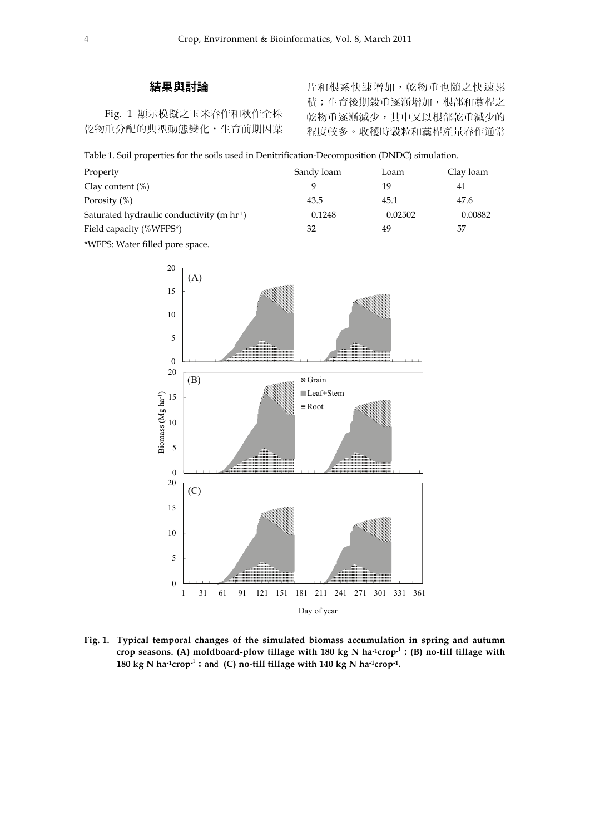# 結果與討論

Fig. 1 顯示模擬之玉米春作和秋作全株 乾物重分配的典型動態變化,生育前期因葉

片和根系快速增加,乾物重也隨之快速累 積;生育後期穀重逐漸增加,根部和藁桿之 乾物重逐漸減少,其中又以根部乾重減少的 程度較多。收穫時穀粒和藁桿產量春作通常

|  |  |  |  |  | Table 1. Soil properties for the soils used in Denitrification-Decomposition (DNDC) simulation. |  |  |  |
|--|--|--|--|--|-------------------------------------------------------------------------------------------------|--|--|--|
|--|--|--|--|--|-------------------------------------------------------------------------------------------------|--|--|--|

| Property                                               | Sandy loam | Loam    | Clay loam |
|--------------------------------------------------------|------------|---------|-----------|
| Clay content $(\%)$                                    |            | 19      | 41        |
| Porosity $(\%)$                                        | 43.5       | 45.1    | 47.6      |
| Saturated hydraulic conductivity (m hr <sup>-1</sup> ) | 0.1248     | 0.02502 | 0.00882   |
| Field capacity (%WFPS*)                                | 32         | 49      | 57        |

\*WFPS: Water filled pore space.



**Fig. 1. Typical temporal changes of the simulated biomass accumulation in spring and autumn crop seasons. (A) moldboard-plow tillage with 180 kg N ha-1crop-**1 ;**(B) no-till tillage with**  180 kg N ha<sup>-1</sup>crop<sup>1</sup>; and (C) no-till tillage with 140 kg N ha<sup>-1</sup>crop<sup>-1</sup>.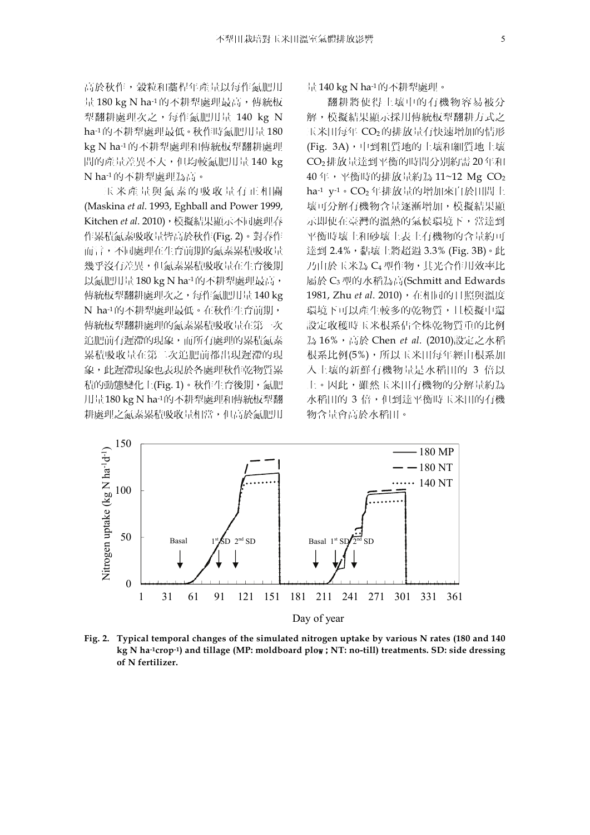高於秋作,穀粒和藁桿年產量以每作氮肥用 量 180 kg N ha-1的不耕犁處理最高, 傳統板 犁翻耕處理次之,每作氮肥用量 140 kg N ha-1 的不耕犁處理最低。秋作時氮肥用量 180 kg N ha-1 的不耕犁處理和傳統板犁翻耕處理 間的產量差異不大,但均較氮肥用量 140 kg N ha-1 的不耕犁處理為高。

玉米產量與氮素的吸收量有正相關 (Maskina *et al*. 1993, Eghball and Power 1999, Kitchen *et al*. 2010),模擬結果顯示不同處理春 作累積氮素吸收量皆高於秋作(Fig. 2)。對春作 而言,不同處理在生育前期的氮素累積吸收量 幾乎沒有差異,但氮素累積吸收量在生育後期 以氮肥用量 180 kg N ha-1的不耕犁處理最高, 傳統板犁翻耕處理次之,每作氮肥用量 140 kg N ha-1的不耕犁處理最低。在秋作生育前期, 傳統板犁翻耕處理的氮素累積吸收量在第一次 追肥前有遲滯的現象,而所有處理的累積氮素 累積吸收量在第二次追肥前都出現遲滯的現 象,此遲滯現象也表現於各處理秋作乾物質累 積的動態變化上(Fig. 1)。秋作生育後期,氮肥 用量180 kg N ha-1的不耕犁處理和傳統板犁翻 耕處理之氮素累積吸收量相當,但高於氮肥用

量 140 kg N ha-1的不耕犁處理。

翻耕將使得土壤中的有機物容易被分 解,模擬結果顯示採用傳統板犁翻耕方式之 玉米田每年 CO2的排放量有快速增加的情形 (Fig. 3A),中到粗質地的土壤和細質地土壤 CO2排放量達到平衡的時間分別約需 20 年和 40年,平衡時的排放量約為 11~12 Mg CO<sub>2</sub> ha-1 y-1。CO<sub>2</sub>年排放量的增加來自於田間土 壤可分解有機物含量逐漸增加,模擬結果顯 示即使在臺灣的溫熱的氣候環境下,當達到 平衡時壤土和砂壤土表土有機物的含量約可 達到 2.4%,黏壤土將超過 3.3% (Fig. 3B)。此 乃由於玉米為 C4 型作物,其光合作用效率比 屬於 C3 型的水稻為高(Schmitt and Edwards 1981, Zhu et al. 2010), 在相同的日照與溫度 環境下可以產生較多的乾物質,且模擬中還 設定收穫時玉米根系佔全株乾物質重的比例 為 16%,高於 Chen *et al.* (2010)設定之水稻 根系比例(5%),所以玉米田每年經由根系加 入土壤的新鮮有機物量是水稻田的 3 倍以 上。因此,雖然玉米田有機物的分解量約為 水稻田的 3 倍,但到達平衡時玉米田的有機 物含量會高於水稻田。



**Fig. 2. Typical temporal changes of the simulated nitrogen uptake by various N rates (180 and 140 kg N ha-1crop-1) and tillage (MP: moldboard plo**w;**NT: no-till) treatments. SD: side dressing of N fertilizer.**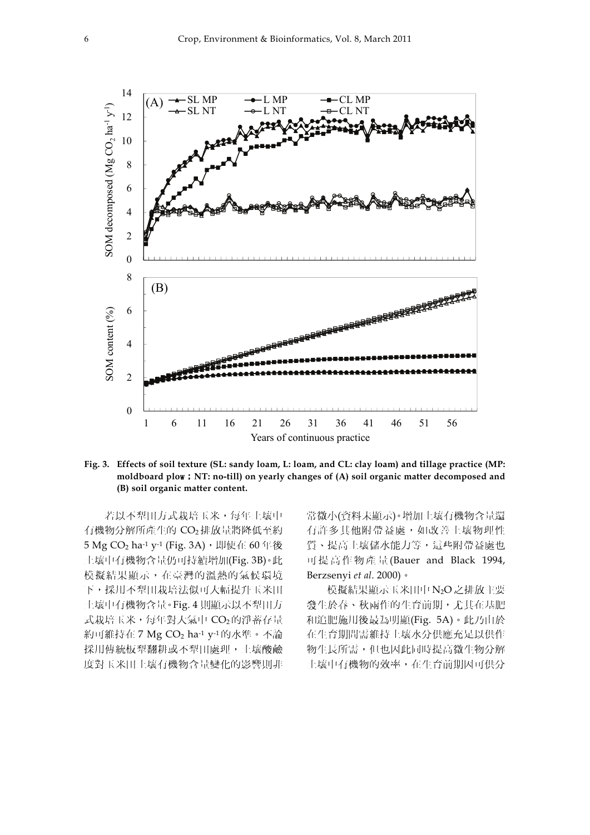

**Fig. 3. Effects of soil texture (SL: sandy loam, L: loam, and CL: clay loam) and tillage practice (MP: moldboard plo**w;**NT: no-till) on yearly changes of (A) soil organic matter decomposed and (B) soil organic matter content.** 

若以不犁田方式栽培玉米,每年土壤中 有機物分解所產生的 CO2 排放量將降低至約 5 Mg CO<sub>2</sub> ha<sup>-1</sup> y<sup>-1</sup> (Fig. 3A),即使在 60 年後 土壤中有機物含量仍可持續增加(Fig. 3B)。此 模擬結果顯示,在臺灣的溫熱的氣候環境 下,採用不犁田栽培法似可大幅提升玉米田 土壤中有機物含量。Fig. 4 則顯示以不犁田方 式栽培玉米,每年對大氣中 CO2的淨蓄存量 約可維持在 7 Mg  $CO<sub>2</sub>$  ha $<sup>-1</sup>$  y $<sup>-1</sup>$ 的水準。不論</sup></sup> 採用傳統板犁翻耕或不犁田處理,土壤酸鹼 度對玉米田土壤有機物含量變化的影響則非

常微小(資料未顯示)。增加土壤有機物含量還 有許多其他附帶益處,如改善土壤物理性 質、提高土壤儲水能力等,這些附帶益處也 可提高作物產量 (Bauer and Black 1994, Berzsenyi *et al*. 2000)。

模擬結果顯示玉米田中 N2O 之排放主要 發生於春、秋兩作的生育前期,尤其在基肥 和追肥施用後最為明顯(Fig. 5A)。此乃由於 在生育期間需維持土壤水分供應充足以供作 物生長所需,但也因此同時提高微生物分解 土壤中有機物的效率,在生育前期因可供分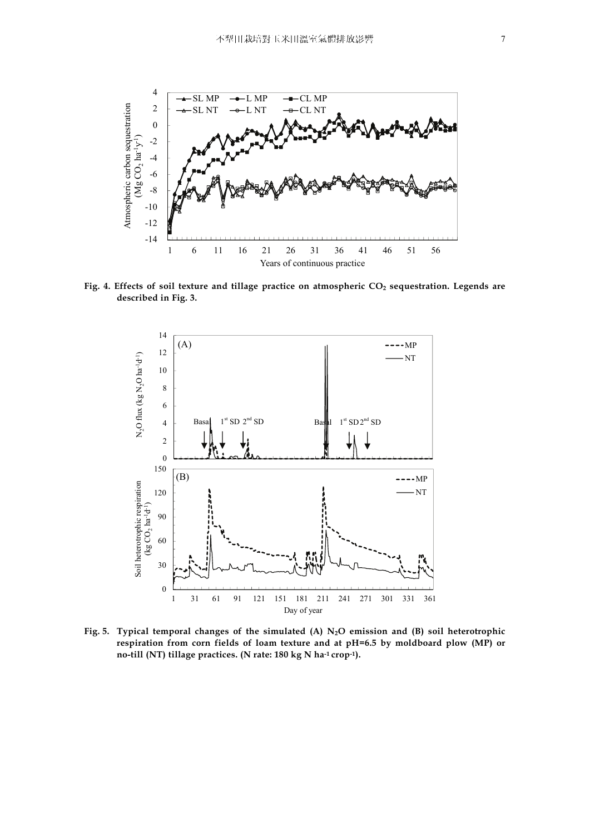

Fig. 4. Effects of soil texture and tillage practice on atmospheric CO<sub>2</sub> sequestration. Legends are **described in Fig. 3.** 



Fig. 5. Typical temporal changes of the simulated (A) N<sub>2</sub>O emission and (B) soil heterotrophic **respiration from corn fields of loam texture and at pH=6.5 by moldboard plow (MP) or no-till (NT) tillage practices. (N rate: 180 kg N ha-1 crop-1).**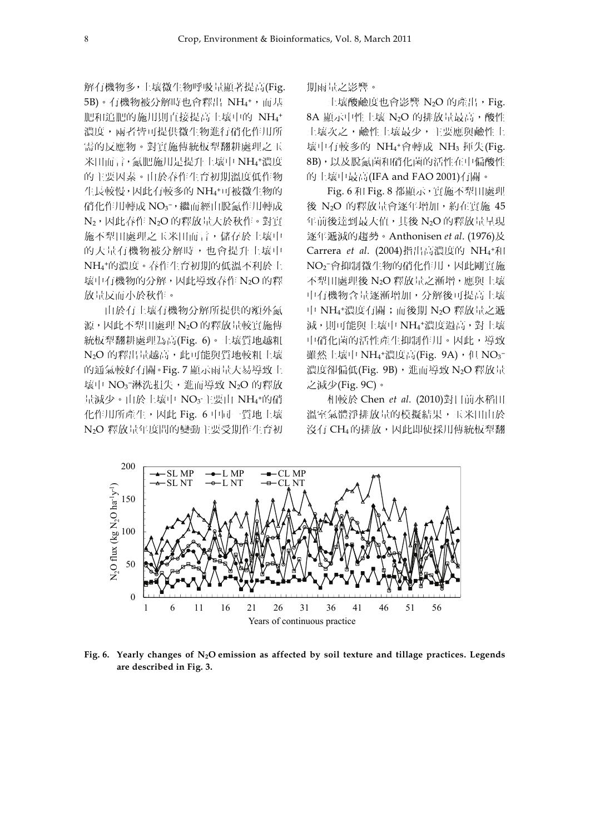解有機物多,土壤微生物呼吸量顯著提高(Fig. 5B)。有機物被分解時也會釋出 NH4+,而基 肥和追肥的施用則直接提高土壤中的 NH4<sup>+</sup> 濃度,兩者皆可提供微生物進行硝化作用所 需的反應物。對實施傳統板犁翻耕處理之玉 米田而言,氮肥施用是提升土壤中 NH4 <sup>+</sup>濃度 的主要因素。由於春作生育初期溫度低作物 生長較慢,因此有較多的 NH4+可被微生物的 硝化作用轉成 NO3¯,繼而經由脫氮作用轉成 N<sub>2</sub>,因此春作 N<sub>2</sub>O 的釋放量大於秋作。對實 施不犁田處理之玉米田而言,儲存於土壤中 的大量有機物被分解時,也會提升土壤中 NH4 <sup>+</sup>的濃度。春作生育初期的低溫不利於土 壤中有機物的分解,因此導致春作 N2O 的釋 放量反而小於秋作。

由於有土壤有機物分解所提供的額外氮 源,因此不犁田處理 N<sub>2</sub>O 的釋放量較實施傳 統板犁翻耕處理為高(Fig. 6)。土壤質地越粗 N<sub>2</sub>O 的釋出量越高,此可能與質地較粗土壤 的通氣較好有關。Fig. 7 顯示雨量大易導致土 壤中 NO3¯淋洗損失,進而導致 N2O 的釋放 量減少。由於土壤中 NO3·主要由 NH4\*的硝 化作用所產生,因此 Fig. 6 中同一質地土壤 N2O 釋放量年度間的變動主要受期作生育初 期雨量之影響。

 $\pm$ 壤酸鹼度也會影響 N2O 的產出, Fig. 8A 顯示中性土壤 N<sub>2</sub>O 的排放量最高,酸性 土壤次之,鹼性土壤最少,主要應與鹼性土 壤中有較多的 NH4<sup>+</sup>會轉成 NH<sub>3</sub> 揮失(Fig. 8B),以及脫氮菌和硝化菌的活性在中偏酸性 的土壤中最高(IFA and FAO 2001)有關。

Fig. 6 和 Fig. 8 都顯示,實施不犁田處理 後 N<sub>2</sub>O 的釋放量會逐年增加,約在實施 45 年前後達到最大值,其後 N2O 的釋放量呈現 逐年遞減的趨勢。Anthonisen *et al*. (1976)及 Carrera et al. (2004)指出高濃度的 NH<sub>4</sub>+和 NO2 <sup>−</sup>會抑制微生物的硝化作用,因此剛實施 不犁田處理後 N<sub>2</sub>O 釋放量之漸增,應與十壤 中有機物含量逐漸增加,分解後可提高土壤 中 NH4 <sup>+</sup>濃度有關;而後期 N2O 釋放量之遞 減,則可能與土壤中 NH4 <sup>+</sup>濃度過高,對土壤 中硝化菌的活性產生抑制作用。因此,導致 雖然土壤中 NH4†濃度高(Fig. 9A),但 NO3<sup>-</sup> 濃度卻偏低(Fig. 9B),進而導致 N2O 釋放量 之減少(Fig. 9C)。

相較於 Chen *et al.* (2010)對目前水稻田 溫室氣體淨排放量的模擬結果,玉米田由於 沒有 CH4的排放,因此即使採用傳統板犁翻



**Fig. 6. Yearly changes of N2O emission as affected by soil texture and tillage practices. Legends are described in Fig. 3.**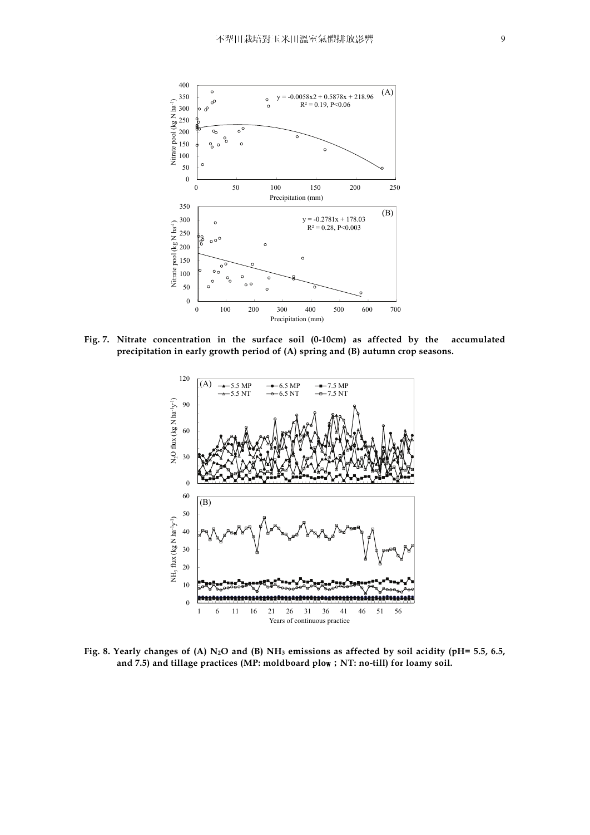

**Fig. 7. Nitrate concentration in the surface soil (0-10cm) as affected by the accumulated precipitation in early growth period of (A) spring and (B) autumn crop seasons.** 



**Fig. 8. Yearly changes of (A) N2O and (B) NH3 emissions as affected by soil acidity (pH= 5.5, 6.5, and 7.5) and tillage practices (MP: moldboard plo**w;**NT: no-till) for loamy soil.**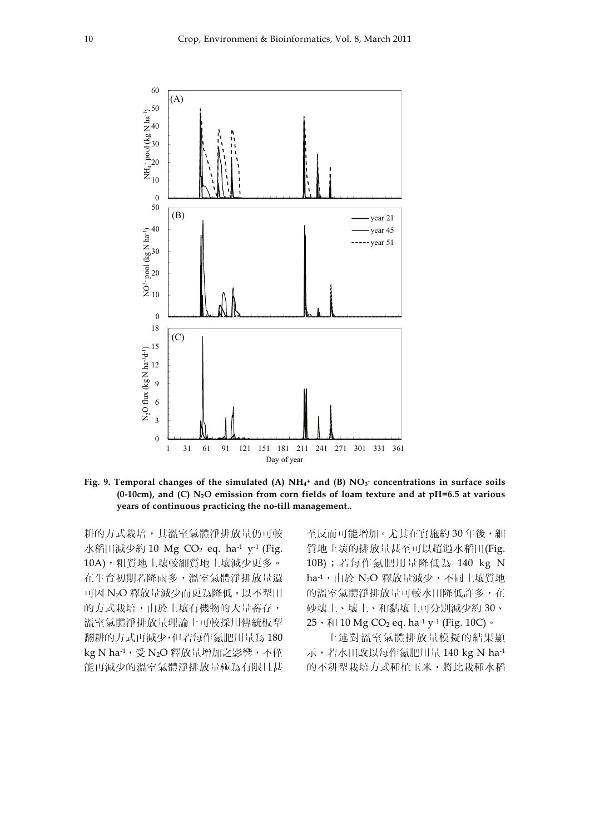

Fig. 9. Temporal changes of the simulated (A) NH<sub>4</sub><sup>+</sup> and (B) NO<sub>3</sub><sup>-</sup> concentrations in surface soils **(0-10cm), and (C) N2O emission from corn fields of loam texture and at pH=6.5 at various years of continuous practicing the no-till management..** 

耕的方式栽培,其溫室氣體淨排放量仍可較 水稻田減少約 10 Mg  $CO<sub>2</sub>$  eq. ha<sup>-1</sup> y<sup>-1</sup> (Fig. 10A),粗質地土壤較細質地土壤減少更多。 在生育初期若降雨多,溫室氣體淨排放量還 可因 N2O 釋放量減少而更為降低。以不犁田 的方式栽培,由於土壤有機物的大量蓄存, 溫室氣體淨排放量理論上可較採用傳統板犁 翻耕的方式再減少,但若每作氮肥用量為 180 kg N ha-1, 受 N<sub>2</sub>O 釋放量增加之影響, 不僅 能再減少的溫室氣體淨排放量極為有限且甚

至反而可能增加。尤其在實施約 30 年後,細 質地土壤的排放量甚至可以超過水稻田(Fig. 10B);若每作氮肥用量降低為 140 kg N ha-1,由於 N2O 釋放量減少,不同土壤質地 的溫室氣體淨排放量可較水田降低許多,在 砂壤土、壤土、和黏壤土可分別減少約 30、  $25 \cdot \text{ N}$  10 Mg CO<sub>2</sub> eq. ha<sup>-1</sup> y<sup>-1</sup> (Fig. 10C) 。

上述對溫室氣體排放量模擬的結果顯 示,若水田改以每作氮肥用量 140 kg N ha-1 的不耕犁栽培方式種植玉米,將比栽種水稻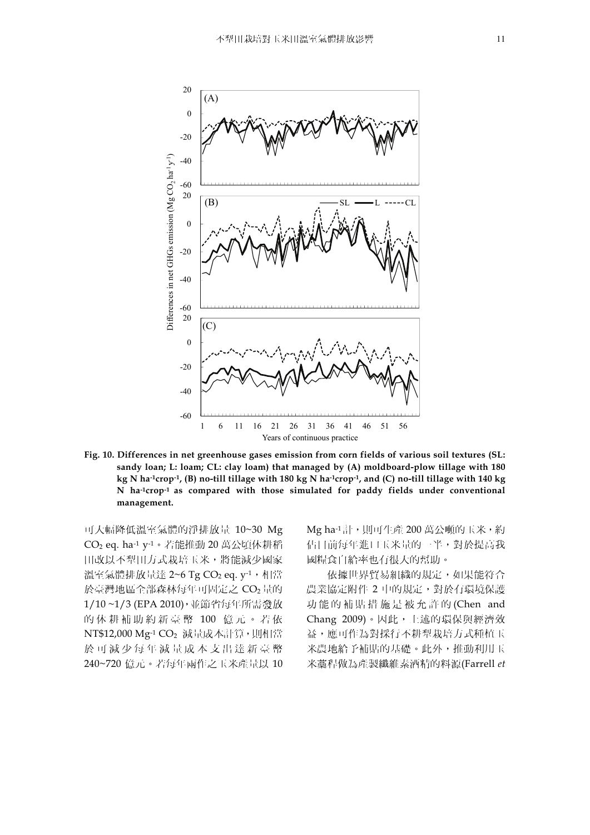

**Fig. 10. Differences in net greenhouse gases emission from corn fields of various soil textures (SL: sandy loan; L: loam; CL: clay loam) that managed by (A) moldboard-plow tillage with 180 kg N ha-1crop-1, (B) no-till tillage with 180 kg N ha-1crop-1, and (C) no-till tillage with 140 kg N ha-1crop-1 as compared with those simulated for paddy fields under conventional management.** 

可大幅降低溫室氣體的淨排放量 10~30 Mg CO2 eq. ha-1 y-1。若能推動 20 萬公頃休耕稻 田改以不犁田方式栽培玉米,將能減少國家 溫室氣體排放量達  $2 \sim 6$  Tg CO<sub>2</sub> eq.  $v^{-1}$ , 相當 於臺灣地區全部森林每年可固定之 CO<sub>2</sub> 量的 1/10 ~1/3 (EPA 2010),並節省每年所需發放 的休耕補助約新臺幣 100 億元。若依 NT\$12,000 Mg-1 CO<sub>2</sub> 減量成本計算, 則相當 於可減少每年減量成本支出達新臺幣 240~720 億元。若每年兩作之玉米產量以 10 Mg ha-1 計,則可生產 200 萬公噸的玉米,約 佔目前每年進口玉米量的一半,對於提高我 國糧食自給率也有很大的幫助。

依據世界貿易組織的規定,如果能符合 農業協定附件 2 中的規定,對於有環境保護 功能的補貼措施是被允許的 (Chen and Chang 2009)。因此,上述的環保與經濟效 益,應可作為對採行不耕犁栽培方式種植玉 米農地給予補貼的基礎。此外,推動利用玉 米藁稈做為產製纖維素酒精的料源(Farrell *et*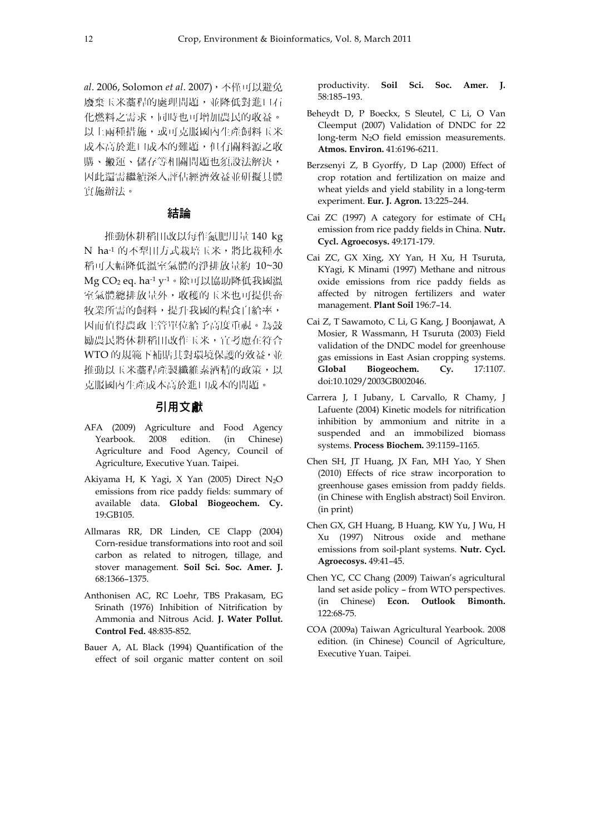*al*. 2006, Solomon *et al*. 2007),不僅可以避免 廢棄玉米藁稈的處理問題,並降低對進口石 化燃料之需求,同時也可增加農民的收益。 以上兩種措施,或可克服國內生產飼料玉米 成本高於進口成本的難題,但有關料源之收 購、搬運、儲存等相關問題也須設法解決, 因此還需繼續深入評估經濟效益並研擬具體 實施辦法。

## 結論

推動休耕稻田改以每作氮肥用量 140 kg N ha-1 的不犁田方式栽培玉米, 將比栽種水 稻可大幅降低溫室氣體的淨排放量約 10~30 Mg CO2 eq. ha-1 y-1。除可以協助降低我國溫 室氣體總排放量外,收穫的玉米也可提供畜 牧業所需的飼料,提升我國的糧食自給率, 因而值得農政主管單位給予高度重視。為鼓 勵農民將休耕稻田改作玉米,宜考慮在符合 WTO 的規範下補貼其對環境保護的效益,並 推動以玉米藁稈產製纖維素酒精的政策,以 克服國內生產成本高於進口成本的問題。

### 引用文獻

- AFA (2009) Agriculture and Food Agency Yearbook. 2008 edition. (in Chinese) Agriculture and Food Agency, Council of Agriculture, Executive Yuan. Taipei.
- Akiyama H, K Yagi, X Yan (2005) Direct N2O emissions from rice paddy fields: summary of available data. **Global Biogeochem. Cy.** 19:GB105.
- Allmaras RR, DR Linden, CE Clapp (2004) Corn-residue transformations into root and soil carbon as related to nitrogen, tillage, and stover management. **Soil Sci. Soc. Amer. J.** 68:1366–1375.
- Anthonisen AC, RC Loehr, TBS Prakasam, EG Srinath (1976) Inhibition of Nitrification by Ammonia and Nitrous Acid. **J. Water Pollut. Control Fed.** 48:835-852.
- Bauer A, AL Black (1994) Quantification of the effect of soil organic matter content on soil

productivity. **Soil Sci. Soc. Amer. J.** 58:185–193.

- Beheydt D, P Boeckx, S Sleutel, C Li, O Van Cleemput (2007) Validation of DNDC for 22 long-term N<sub>2</sub>O field emission measurements. **Atmos. Environ.** 41:6196-6211.
- Berzsenyi Z, B Gyorffy, D Lap (2000) Effect of crop rotation and fertilization on maize and wheat yields and yield stability in a long-term experiment. **Eur. J. Agron.** 13:225–244.
- Cai ZC (1997) A category for estimate of CH4 emission from rice paddy fields in China. **Nutr. Cycl. Agroecosys.** 49:171-179.
- Cai ZC, GX Xing, XY Yan, H Xu, H Tsuruta, KYagi, K Minami (1997) Methane and nitrous oxide emissions from rice paddy fields as affected by nitrogen fertilizers and water management. **Plant Soil** 196:7–14.
- Cai Z, T Sawamoto, C Li, G Kang, J Boonjawat, A Mosier, R Wassmann, H Tsuruta (2003) Field validation of the DNDC model for greenhouse gas emissions in East Asian cropping systems. Global Biogeochem. Cv. 17:1107. doi:10.1029/2003GB002046.
- Carrera J, I Jubany, L Carvallo, R Chamy, J Lafuente (2004) Kinetic models for nitrification inhibition by ammonium and nitrite in a suspended and an immobilized biomass systems. **Process Biochem.** 39:1159–1165.
- Chen SH, JT Huang, JX Fan, MH Yao, Y Shen (2010) Effects of rice straw incorporation to greenhouse gases emission from paddy fields. (in Chinese with English abstract) Soil Environ. (in print)
- Chen GX, GH Huang, B Huang, KW Yu, J Wu, H Xu (1997) Nitrous oxide and methane emissions from soil-plant systems. **Nutr. Cycl. Agroecosys.** 49:41–45.
- Chen YC, CC Chang (2009) Taiwan's agricultural land set aside policy – from WTO perspectives. (in Chinese) **Econ. Outlook Bimonth.** 122:68-75.
- COA (2009a) Taiwan Agricultural Yearbook. 2008 edition. (in Chinese) Council of Agriculture, Executive Yuan. Taipei.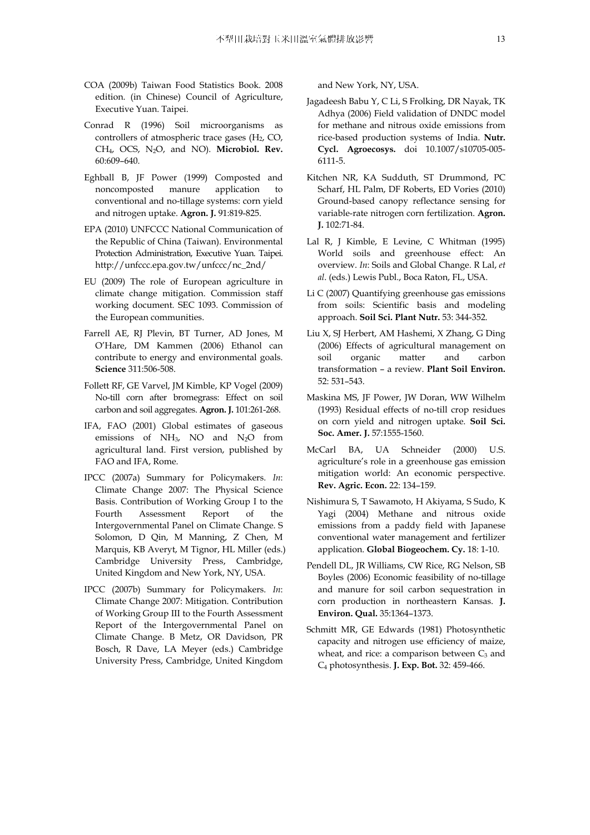- COA (2009b) Taiwan Food Statistics Book. 2008 edition. (in Chinese) Council of Agriculture, Executive Yuan. Taipei.
- Conrad R (1996) Soil microorganisms as controllers of atmospheric trace gases (H<sub>2</sub>, CO, CH4, OCS, N2O, and NO). **Microbiol. Rev.** 60:609–640.
- Eghball B, JF Power (1999) Composted and noncomposted manure application to conventional and no-tillage systems: corn yield and nitrogen uptake. **Agron. J.** 91:819-825.
- EPA (2010) UNFCCC National Communication of the Republic of China (Taiwan). Environmental Protection Administration, Executive Yuan. Taipei. http://unfccc.epa.gov.tw/unfccc/nc\_2nd/
- EU (2009) The role of European agriculture in climate change mitigation. Commission staff working document. SEC 1093. Commission of the European communities.
- Farrell AE, RJ Plevin, BT Turner, AD Jones, M O'Hare, DM Kammen (2006) Ethanol can contribute to energy and environmental goals. **Science** 311:506-508.
- Follett RF, GE Varvel, JM Kimble, KP Vogel (2009) No-till corn after bromegrass: Effect on soil carbon and soil aggregates. **Agron. J.** 101:261-268.
- IFA, FAO (2001) Global estimates of gaseous emissions of NH3, NO and N2O from agricultural land. First version, published by FAO and IFA, Rome.
- IPCC (2007a) Summary for Policymakers. *In*: Climate Change 2007: The Physical Science Basis. Contribution of Working Group I to the Fourth Assessment Report of the Intergovernmental Panel on Climate Change. S Solomon, D Qin, M Manning, Z Chen, M Marquis, KB Averyt, M Tignor, HL Miller (eds.) Cambridge University Press, Cambridge, United Kingdom and New York, NY, USA.
- IPCC (2007b) Summary for Policymakers. *In*: Climate Change 2007: Mitigation. Contribution of Working Group III to the Fourth Assessment Report of the Intergovernmental Panel on Climate Change. B Metz, OR Davidson, PR Bosch, R Dave, LA Meyer (eds.) Cambridge University Press, Cambridge, United Kingdom

and New York, NY, USA.

- Jagadeesh Babu Y, C Li, S Frolking, DR Nayak, TK Adhya (2006) Field validation of DNDC model for methane and nitrous oxide emissions from rice-based production systems of India. **Nutr. Cycl. Agroecosys.** doi 10.1007/s10705-005- 6111-5.
- Kitchen NR, KA Sudduth, ST Drummond, PC Scharf, HL Palm, DF Roberts, ED Vories (2010) Ground-based canopy reflectance sensing for variable-rate nitrogen corn fertilization. **Agron. J.** 102:71-84.
- Lal R, J Kimble, E Levine, C Whitman (1995) World soils and greenhouse effect: An overview. *In*: Soils and Global Change. R Lal, *et al*. (eds.) Lewis Publ., Boca Raton, FL, USA.
- Li C (2007) Quantifying greenhouse gas emissions from soils: Scientific basis and modeling approach. **Soil Sci. Plant Nutr.** 53: 344-352.
- Liu X, SJ Herbert, AM Hashemi, X Zhang, G Ding (2006) Effects of agricultural management on soil organic matter and carbon transformation – a review. **Plant Soil Environ.** 52: 531–543.
- Maskina MS, JF Power, JW Doran, WW Wilhelm (1993) Residual effects of no-till crop residues on corn yield and nitrogen uptake. **Soil Sci. Soc. Amer. J.** 57:1555-1560.
- McCarl BA, UA Schneider (2000) U.S. agriculture's role in a greenhouse gas emission mitigation world: An economic perspective. **Rev. Agric. Econ.** 22: 134–159.
- Nishimura S, T Sawamoto, H Akiyama, S Sudo, K Yagi (2004) Methane and nitrous oxide emissions from a paddy field with Japanese conventional water management and fertilizer application. **Global Biogeochem. Cy.** 18: 1-10.
- Pendell DL, JR Williams, CW Rice, RG Nelson, SB Boyles (2006) Economic feasibility of no-tillage and manure for soil carbon sequestration in corn production in northeastern Kansas. **J. Environ. Qual.** 35:1364–1373.
- Schmitt MR, GE Edwards (1981) Photosynthetic capacity and nitrogen use efficiency of maize, wheat, and rice: a comparison between  $C_3$  and C4 photosynthesis. **J. Exp. Bot.** 32: 459-466.